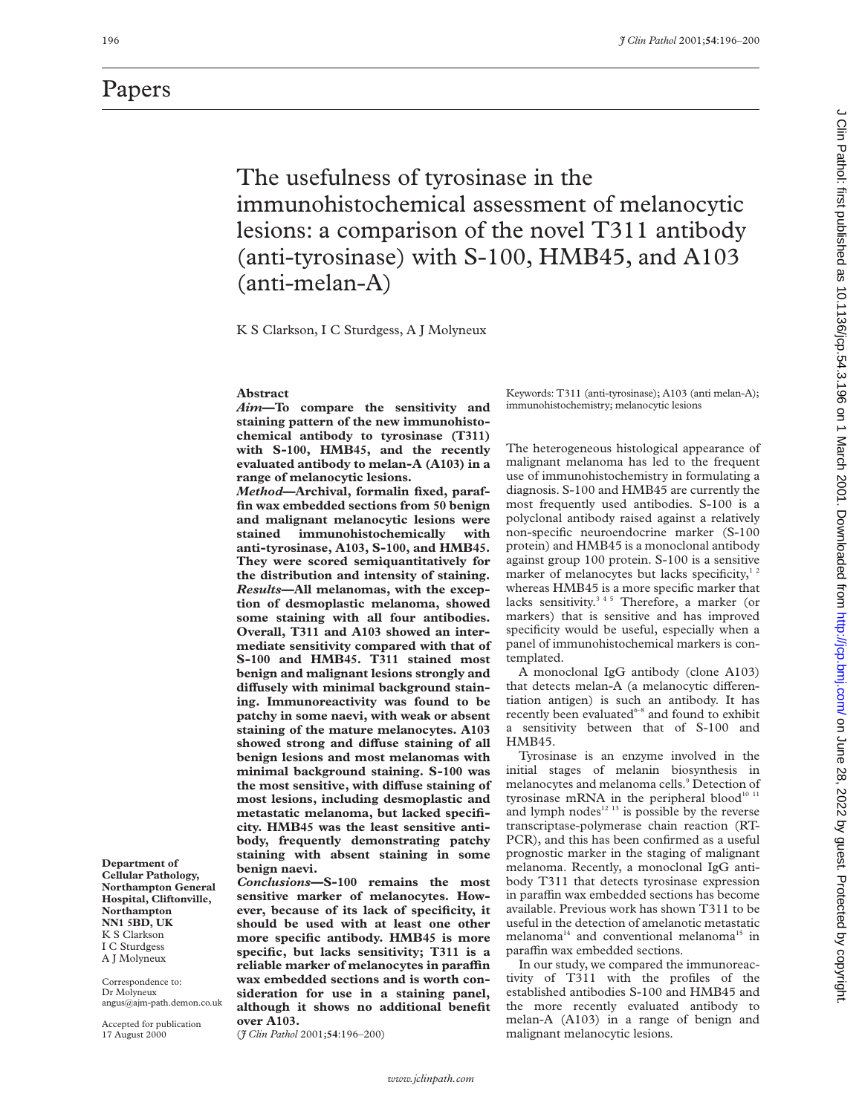## The usefulness of tyrosinase in the immunohistochemical assessment of melanocytic lesions: a comparison of the novel T311 antibody (anti-tyrosinase) with S-100, HMB45, and A103 (anti-melan-A)

K S Clarkson, I C Sturdgess, A J Molyneux

#### **Abstract**

*Aim***—To compare the sensitivity and staining pattern of the new immunohistochemical antibody to tyrosinase (T311) with S-100, HMB45, and the recently evaluated antibody to melan-A (A103) in a range of melanocytic lesions.**

*Method***—Archival, formalin fixed, paraffin wax embedded sections from 50 benign and malignant melanocytic lesions were stained immunohistochemically with anti-tyrosinase, A103, S-100, and HMB45. They were scored semiquantitatively for the distribution and intensity of staining.** *Results***—All melanomas, with the exception of desmoplastic melanoma, showed some staining with all four antibodies. Overall, T311 and A103 showed an intermediate sensitivity compared with that of S-100 and HMB45. T311 stained most benign and malignant lesions strongly and** diffusely with minimal background stain**ing. Immunoreactivity was found to be patchy in some naevi, with weak or absent staining of the mature melanocytes. A103** showed strong and diffuse staining of all **benign lesions and most melanomas with minimal background staining. S-100 was** the most sensitive, with diffuse staining of **most lesions, including desmoplastic and metastatic melanoma, but lacked specificity. HMB45 was the least sensitive antibody, frequently demonstrating patchy staining with absent staining in some benign naevi.**

*Conclusions***—S-100 remains the most sensitive marker of melanocytes. However, because of its lack of specificity, it should be used with at least one other more specific antibody. HMB45 is more specific, but lacks sensitivity; T311 is a** reliable marker of melanocytes in paraffin **wax embedded sections and is worth consideration for use in a staining panel, although it shows no additional benefit over A103.**

(*J Clin Pathol* 2001;**54**:196–200)

Keywords: T311 (anti-tyrosinase); A103 (anti melan-A); immunohistochemistry; melanocytic lesions

The heterogeneous histological appearance of malignant melanoma has led to the frequent use of immunohistochemistry in formulating a diagnosis. S-100 and HMB45 are currently the most frequently used antibodies. S-100 is a polyclonal antibody raised against a relatively non-specific neuroendocrine marker (S-100 protein) and HMB45 is a monoclonal antibody against group 100 protein. S-100 is a sensitive marker of melanocytes but lacks specificity, $1/2$ whereas HMB45 is a more specific marker that lacks sensitivity.<sup>345</sup> Therefore, a marker (or markers) that is sensitive and has improved specificity would be useful, especially when a panel of immunohistochemical markers is contemplated.

A monoclonal IgG antibody (clone A103) that detects melan-A (a melanocytic differentiation antigen) is such an antibody. It has recently been evaluated<sup>6-8</sup> and found to exhibit a sensitivity between that of S-100 and HMB45.

Tyrosinase is an enzyme involved in the initial stages of melanin biosynthesis in melanocytes and melanoma cells.<sup>9</sup> Detection of tyrosinase mRNA in the peripheral blood<sup>10 11</sup> and lymph nodes $12$ <sup>13</sup> is possible by the reverse transcriptase-polymerase chain reaction (RT-PCR), and this has been confirmed as a useful prognostic marker in the staging of malignant melanoma. Recently, a monoclonal IgG antibody T311 that detects tyrosinase expression in paraffin wax embedded sections has become available. Previous work has shown T311 to be useful in the detection of amelanotic metastatic melanoma<sup>14</sup> and conventional melanoma<sup>15</sup> in paraffin wax embedded sections.

In our study, we compared the immunoreactivity of T311 with the profiles of the established antibodies S-100 and HMB45 and the more recently evaluated antibody to melan-A (A103) in a range of benign and malignant melanocytic lesions.

J Clin Pathol: first published as 10.1136/jcp.54.3.196 on 1 March 2001. Downloaded from http://jcp.bmj.com/ on June 28, 2022 by guest. Protected by copyright on June 28, 2022 by guest. Protected by 2022 by copyright. http://jcp.bm/inter and March 2001. Downloaded from intersivies on June 28, 2022 by 2012 on 1 Mathol: first published as 10.11386/jcp.54.3.196 on 1 March 2002 Down

Papers

angus@ajm-path.demon.co.uk

**Department of Cellular Pathology, Northampton General Hospital, Cliftonville, Northampton NN1 5BD, UK** K S Clarkson I C Sturdgess A J Molyneux Correspondence to: Dr Molyneux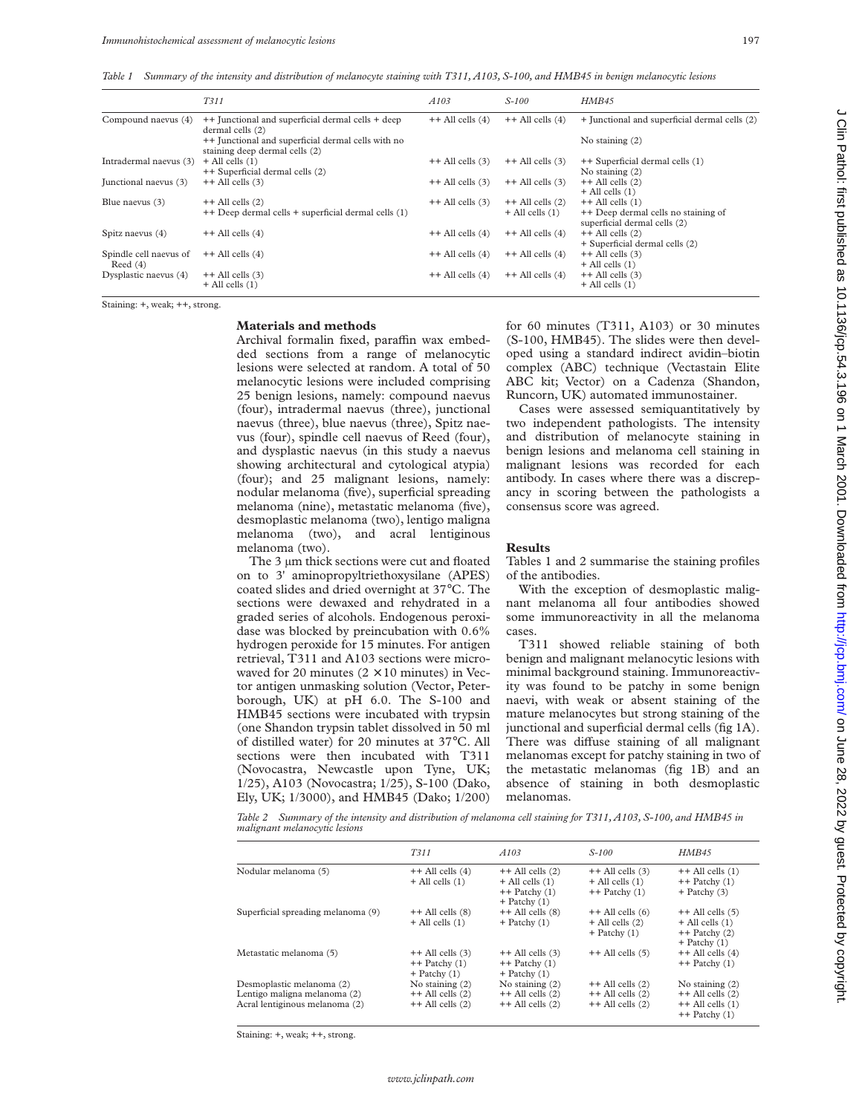*Table 1 Summary of the intensity and distribution of melanocyte staining with T311, A103, S-100, and HMB45 in benign melanocytic lesions*

|                                      | T311                                                                                 | A <sub>103</sub>     | $S-100$                                     | HMB45                                                                                       |
|--------------------------------------|--------------------------------------------------------------------------------------|----------------------|---------------------------------------------|---------------------------------------------------------------------------------------------|
| Compound naevus (4)                  | ++ Junctional and superficial dermal cells + deep<br>dermal cells (2)                | $++$ All cells $(4)$ | $++$ All cells $(4)$                        | + Junctional and superficial dermal cells (2)                                               |
|                                      | ++ Junctional and superficial dermal cells with no<br>staining deep dermal cells (2) |                      |                                             | No staining $(2)$                                                                           |
| Intradermal naevus (3)               | $+$ All cells $(1)$<br>++ Superficial dermal cells (2)                               | $++$ All cells $(3)$ | $++$ All cells $(3)$                        | ++ Superficial dermal cells (1)<br>No staining $(2)$                                        |
| Junctional naevus (3)                | $++$ All cells $(3)$                                                                 | $++$ All cells $(3)$ | $++$ All cells $(3)$                        | $++$ All cells $(2)$<br>$+$ All cells $(1)$                                                 |
| Blue naevus (3)                      | $++$ All cells $(2)$<br>++ Deep dermal cells + superficial dermal cells (1)          | $++$ All cells $(3)$ | $++$ All cells $(2)$<br>$+$ All cells $(1)$ | $++$ All cells $(1)$<br>++ Deep dermal cells no staining of<br>superficial dermal cells (2) |
| Spitz naevus (4)                     | $++$ All cells $(4)$                                                                 | $++$ All cells $(4)$ | $++$ All cells $(4)$                        | $++$ All cells $(2)$<br>+ Superficial dermal cells (2)                                      |
| Spindle cell naevus of<br>Reed $(4)$ | $++$ All cells $(4)$                                                                 | $++$ All cells $(4)$ | $++$ All cells $(4)$                        | $++$ All cells $(3)$<br>$+$ All cells $(1)$                                                 |
| Dysplastic naevus (4)                | $++$ All cells $(3)$<br>$+$ All cells $(1)$                                          | $++$ All cells $(4)$ | $++$ All cells $(4)$                        | $++$ All cells $(3)$<br>$+$ All cells $(1)$                                                 |

Staining: +, weak; ++, strong.

#### **Materials and methods**

Archival formalin fixed, paraffin wax embedded sections from a range of melanocytic lesions were selected at random. A total of 50 melanocytic lesions were included comprising 25 benign lesions, namely: compound naevus (four), intradermal naevus (three), junctional naevus (three), blue naevus (three), Spitz naevus (four), spindle cell naevus of Reed (four), and dysplastic naevus (in this study a naevus showing architectural and cytological atypia) (four); and 25 malignant lesions, namely: nodular melanoma (five), superficial spreading melanoma (nine), metastatic melanoma (five), desmoplastic melanoma (two), lentigo maligna melanoma (two), and acral lentiginous melanoma (two).

The 3 um thick sections were cut and floated on to 3' aminopropyltriethoxysilane (APES) coated slides and dried overnight at 37°C. The sections were dewaxed and rehydrated in a graded series of alcohols. Endogenous peroxidase was blocked by preincubation with 0.6% hydrogen peroxide for 15 minutes. For antigen retrieval, T311 and A103 sections were microwaved for 20 minutes ( $2 \times 10$  minutes) in Vector antigen unmasking solution (Vector, Peterborough, UK) at pH 6.0. The S-100 and HMB45 sections were incubated with trypsin (one Shandon trypsin tablet dissolved in 50 ml of distilled water) for 20 minutes at 37°C. All sections were then incubated with T311 (Novocastra, Newcastle upon Tyne, UK; 1/25), A103 (Novocastra; 1/25), S-100 (Dako, Ely, UK; 1/3000), and HMB45 (Dako; 1/200) for 60 minutes (T311, A103) or 30 minutes (S-100, HMB45). The slides were then developed using a standard indirect avidin–biotin complex (ABC) technique (Vectastain Elite ABC kit; Vector) on a Cadenza (Shandon, Runcorn, UK) automated immunostainer.

Cases were assessed semiquantitatively by two independent pathologists. The intensity and distribution of melanocyte staining in benign lesions and melanoma cell staining in malignant lesions was recorded for each antibody. In cases where there was a discrepancy in scoring between the pathologists a consensus score was agreed.

#### **Results**

Tables 1 and 2 summarise the staining profiles of the antibodies.

With the exception of desmoplastic malignant melanoma all four antibodies showed some immunoreactivity in all the melanoma cases.

T311 showed reliable staining of both benign and malignant melanocytic lesions with minimal background staining. Immunoreactivity was found to be patchy in some benign naevi, with weak or absent staining of the mature melanocytes but strong staining of the junctional and superficial dermal cells (fig 1A). There was diffuse staining of all malignant melanomas except for patchy staining in two of the metastatic melanomas (fig 1B) and an absence of staining in both desmoplastic melanomas.

*Table 2 Summary of the intensity and distribution of melanoma cell staining for T311, A103, S-100, and HMB45 in malignant melanocytic lesions*

|                                                                                             | T311                                                              | A103                                                                                 | $S - 100$                                                            | HMB45                                                                                  |
|---------------------------------------------------------------------------------------------|-------------------------------------------------------------------|--------------------------------------------------------------------------------------|----------------------------------------------------------------------|----------------------------------------------------------------------------------------|
| Nodular melanoma (5)                                                                        | $++$ All cells $(4)$<br>$+$ All cells $(1)$                       | $++$ All cells $(2)$<br>$+$ All cells $(1)$<br>$++$ Patchy $(1)$<br>$+$ Patchy $(1)$ | $++$ All cells $(3)$<br>$+$ All cells $(1)$<br>$++$ Patchy $(1)$     | $++$ All cells $(1)$<br>$++$ Patchy $(1)$<br>$+$ Patchy $(3)$                          |
| Superficial spreading melanoma (9)                                                          | $++$ All cells $(8)$<br>$+$ All cells $(1)$                       | $++$ All cells $(8)$<br>$+$ Patchy $(1)$                                             | $++$ All cells $(6)$<br>$+$ All cells $(2)$<br>$+$ Patchy $(1)$      | $++$ All cells $(5)$<br>$+$ All cells $(1)$<br>$++$ Patchy $(2)$<br>$+$ Patchy $(1)$   |
| Metastatic melanoma (5)                                                                     | $++$ All cells $(3)$<br>$++$ Patchy $(1)$<br>$+$ Patchy $(1)$     | $++$ All cells $(3)$<br>$++$ Patchy $(1)$<br>$+$ Patchy $(1)$                        | $++$ All cells $(5)$                                                 | $++$ All cells $(4)$<br>$++$ Patchy $(1)$                                              |
| Desmoplastic melanoma (2)<br>Lentigo maligna melanoma (2)<br>Acral lentiginous melanoma (2) | No staining $(2)$<br>$++$ All cells $(2)$<br>$++$ All cells $(2)$ | No staining $(2)$<br>$++$ All cells $(2)$<br>$++$ All cells $(2)$                    | $++$ All cells $(2)$<br>$++$ All cells $(2)$<br>$++$ All cells $(2)$ | No staining $(2)$<br>$++$ All cells $(2)$<br>$++$ All cells $(1)$<br>$++$ Patchy $(1)$ |

Staining: +, weak; ++, strong.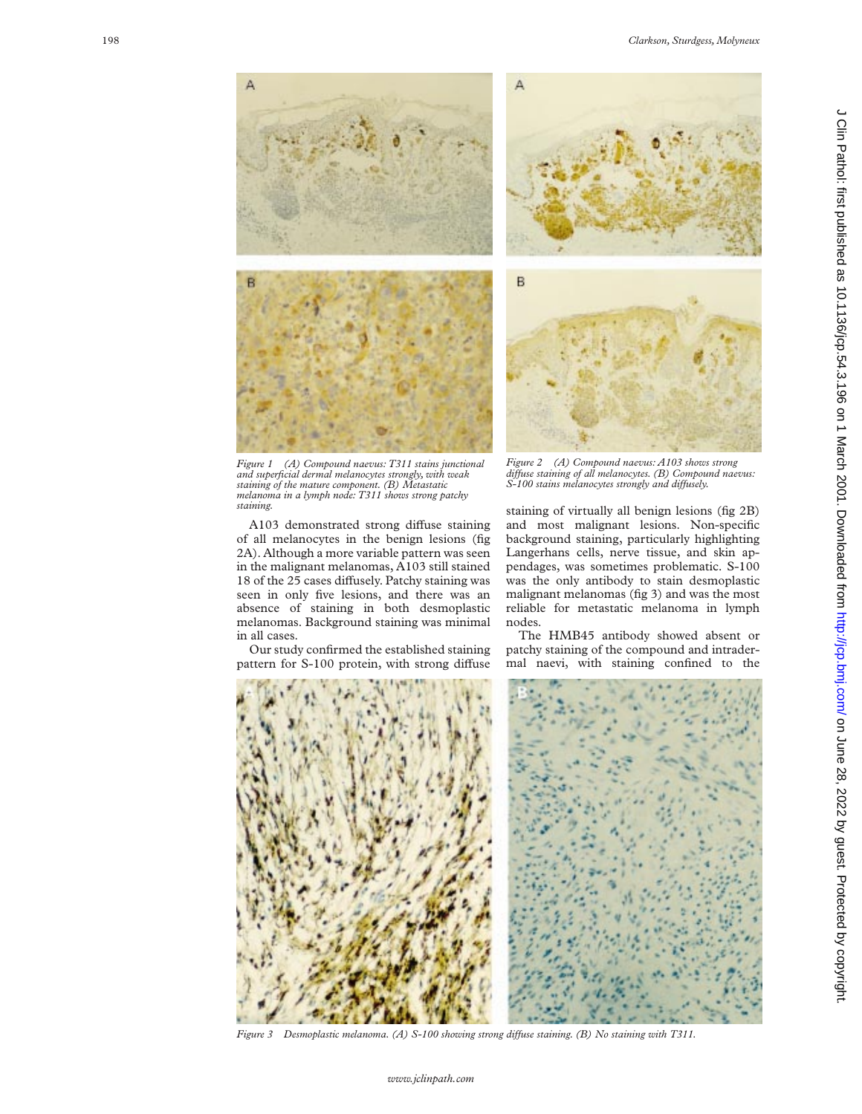





*Figure 1 (A) Compound naevus: T311 stains junctional and superficial dermal melanocytes strongly, with weak staining of the mature component. (B) Metastatic melanoma in a lymph node: T311 shows strong patchy staining.*

A103 demonstrated strong diffuse staining of all melanocytes in the benign lesions (fig 2A). Although a more variable pattern was seen in the malignant melanomas, A103 still stained 18 of the 25 cases diffusely. Patchy staining was seen in only five lesions, and there was an absence of staining in both desmoplastic melanomas. Background staining was minimal in all cases.

Our study confirmed the established staining pattern for S-100 protein, with strong diffuse



staining of virtually all benign lesions (fig 2B) and most malignant lesions. Non-specific background staining, particularly highlighting Langerhans cells, nerve tissue, and skin appendages, was sometimes problematic. S-100 was the only antibody to stain desmoplastic malignant melanomas (fig 3) and was the most reliable for metastatic melanoma in lymph nodes.

The HMB45 antibody showed absent or patchy staining of the compound and intradermal naevi, with staining confined to the



*Figure 3 Desmoplastic melanoma. (A) S-100 showing strong diVuse staining. (B) No staining with T311.*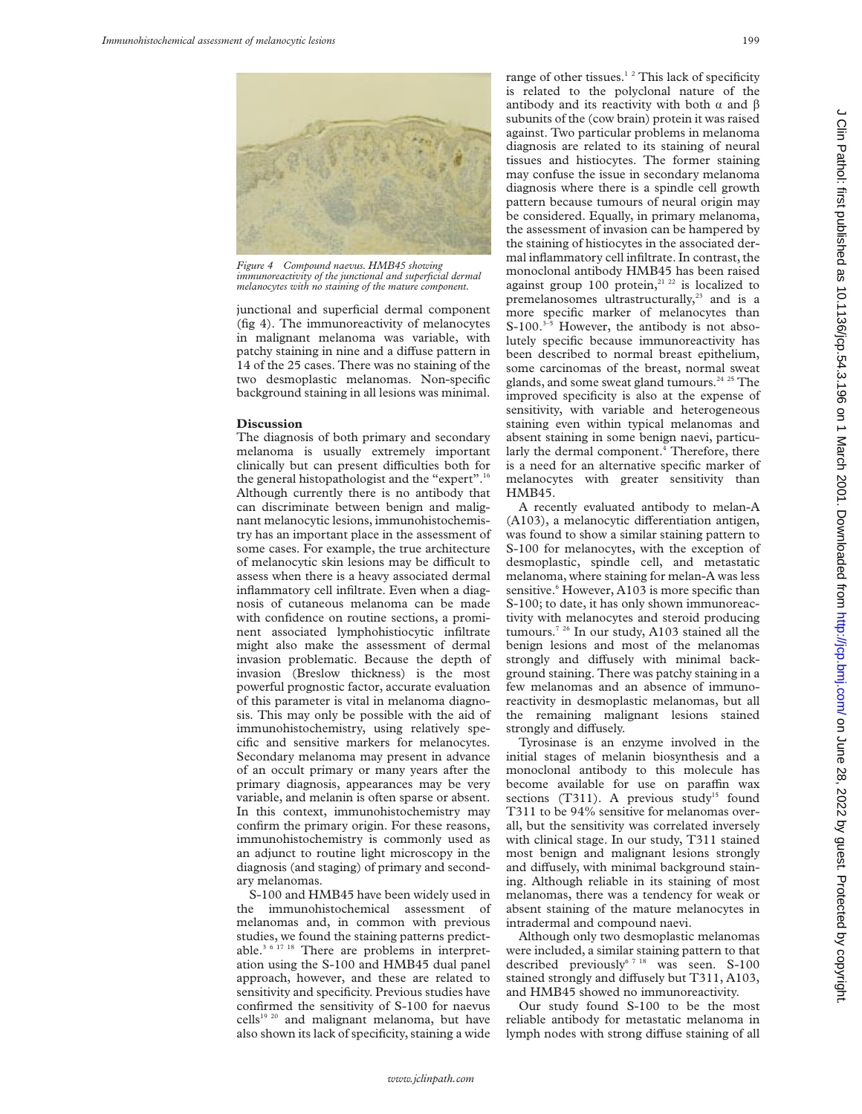

*Figure 4 Compound naevus. HMB45 showing immunoreactivity of the junctional and superficial dermal melanocytes with no staining of the mature component.*

junctional and superficial dermal component (fig 4). The immunoreactivity of melanocytes in malignant melanoma was variable, with patchy staining in nine and a diffuse pattern in 14 of the 25 cases. There was no staining of the two desmoplastic melanomas. Non-specific background staining in all lesions was minimal.

#### **Discussion**

The diagnosis of both primary and secondary melanoma is usually extremely important clinically but can present difficulties both for the general histopathologist and the "expert".16 Although currently there is no antibody that can discriminate between benign and malignant melanocytic lesions, immunohistochemistry has an important place in the assessment of some cases. For example, the true architecture of melanocytic skin lesions may be difficult to assess when there is a heavy associated dermal inflammatory cell infiltrate. Even when a diagnosis of cutaneous melanoma can be made with confidence on routine sections, a prominent associated lymphohistiocytic infiltrate might also make the assessment of dermal invasion problematic. Because the depth of invasion (Breslow thickness) is the most powerful prognostic factor, accurate evaluation of this parameter is vital in melanoma diagnosis. This may only be possible with the aid of immunohistochemistry, using relatively specific and sensitive markers for melanocytes. Secondary melanoma may present in advance of an occult primary or many years after the primary diagnosis, appearances may be very variable, and melanin is often sparse or absent. In this context, immunohistochemistry may confirm the primary origin. For these reasons, immunohistochemistry is commonly used as an adjunct to routine light microscopy in the diagnosis (and staging) of primary and secondary melanomas.

S-100 and HMB45 have been widely used in the immunohistochemical assessment of melanomas and, in common with previous studies, we found the staining patterns predictable.<sup>3 6 17 18</sup> There are problems in interpretation using the S-100 and HMB45 dual panel approach, however, and these are related to sensitivity and specificity. Previous studies have confirmed the sensitivity of S-100 for naevus cells<sup>19 20</sup> and malignant melanoma, but have also shown its lack of specificity, staining a wide

range of other tissues.<sup>12</sup> This lack of specificity is related to the polyclonal nature of the antibody and its reactivity with both  $\alpha$  and  $\beta$ subunits of the (cow brain) protein it was raised against. Two particular problems in melanoma diagnosis are related to its staining of neural tissues and histiocytes. The former staining may confuse the issue in secondary melanoma diagnosis where there is a spindle cell growth pattern because tumours of neural origin may be considered. Equally, in primary melanoma, the assessment of invasion can be hampered by the staining of histiocytes in the associated dermal inflammatory cell infiltrate. In contrast, the monoclonal antibody HMB45 has been raised against group 100 protein,<sup>21 22</sup> is localized to premelanosomes ultrastructurally, $23$  and is a more specific marker of melanocytes than  $S-100.<sup>3-5</sup>$  However, the antibody is not absolutely specific because immunoreactivity has been described to normal breast epithelium, some carcinomas of the breast, normal sweat glands, and some sweat gland tumours.<sup>24 25</sup> The improved specificity is also at the expense of sensitivity, with variable and heterogeneous staining even within typical melanomas and absent staining in some benign naevi, particularly the dermal component. $\frac{4}{3}$  Therefore, there is a need for an alternative specific marker of melanocytes with greater sensitivity than HMB45.

A recently evaluated antibody to melan-A  $(A103)$ , a melanocytic differentiation antigen, was found to show a similar staining pattern to S-100 for melanocytes, with the exception of desmoplastic, spindle cell, and metastatic melanoma, where staining for melan-A was less sensitive.<sup>6</sup> However, A103 is more specific than S-100; to date, it has only shown immunoreactivity with melanocytes and steroid producing tumours.7 26 In our study, A103 stained all the benign lesions and most of the melanomas strongly and diffusely with minimal background staining. There was patchy staining in a few melanomas and an absence of immunoreactivity in desmoplastic melanomas, but all the remaining malignant lesions stained strongly and diffusely.

Tyrosinase is an enzyme involved in the initial stages of melanin biosynthesis and a monoclonal antibody to this molecule has become available for use on paraffin wax sections (T311). A previous study<sup>15</sup> found T311 to be 94% sensitive for melanomas overall, but the sensitivity was correlated inversely with clinical stage. In our study, T311 stained most benign and malignant lesions strongly and diffusely, with minimal background staining. Although reliable in its staining of most melanomas, there was a tendency for weak or absent staining of the mature melanocytes in intradermal and compound naevi.

Although only two desmoplastic melanomas were included, a similar staining pattern to that described previously<sup>6 7 18</sup> was seen. S-100 stained strongly and diffusely but T311, A103, and HMB45 showed no immunoreactivity.

Our study found S-100 to be the most reliable antibody for metastatic melanoma in lymph nodes with strong diffuse staining of all